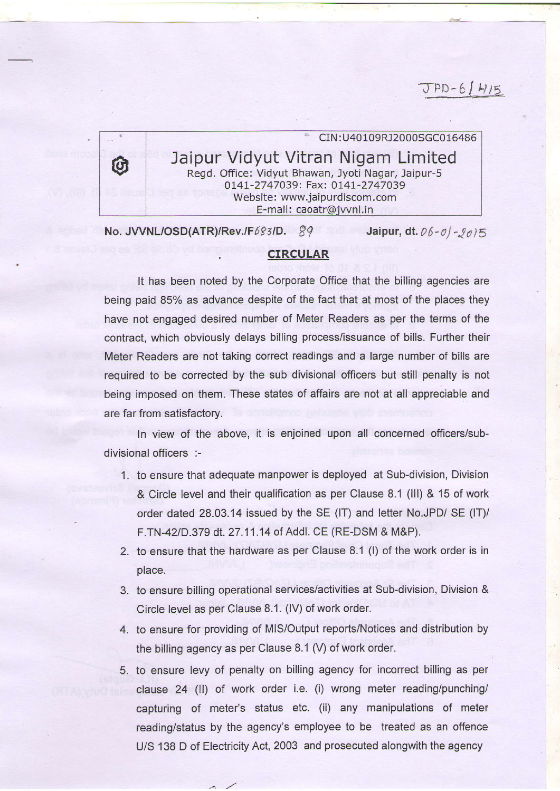## $JPD-61H15$

CIN : U40109R12000SGCo16486 Jaipur Vidyut Vitran Nigam Limited Regd. Office: Vidyut Bhawan, Jyoti Nagar, Jaipur-5 0141-2747039: Fax: 0141-2747039 Website: www.jaipurdiscom.com E-mail: caoatr@jvvnl.in

No. JVVNL/OSD(ATR)/Rev./F683/D.  $g$ 9 Jaipur, dt. 06-ol- $g$ <sub>0</sub>15

## CIRCULAR

It has been noted by the Corporate Office that the billing agencies are being paid 85% as advance despite of the fact that at most of the places they have not engaged desired number of Meter Readers as per the terms of the contract, which obviously delays billing process/issuance of bills. Further their Meter Readers are not taking correct readings and a large number of bills are required to be corrected by the sub divisional officers but still penalty is not being imposed on them. These states of affairs are not at all appreciable and are far from satisfactory.

In view of the above, it is enjoined upon all concerned officers/subdivisional officers :-

- 1 . to ensure that adequate manpower is deployed at Sub-division, Division & Circle level and their qualification as per Clause 8.1 (lll) & 15 of work order dated 28.03.14 issued by the SE (IT) and letter No.JPD/ SE (IT)/ F.TN-42/D.379 dt. 27.11.14 of Addl. CE (RE-DSM & M&P).
- 2. to ensure that the hardware as per Clause 8.1 (l) of the work order is in place.
- 3. to ensure billing operational services/activitles at Sub-division, Division & Circle level as per Clause 8.1 .(lV) of work order.
- 4. to ensure for providing of M|S/Output reports/Notices and distribution by the billing agency as per Clause 8.1 (V) of work order.
- 5. to ensure levy of penalty on billing agency for incorrect billing as per clause 24 (ll) of work order i.e. (i) wrong meter reading/punching/ capturing of meter's status etc. (ii) any manipulations of meter reading/status by the agency's employee to be treated as an offence U/S 138 D of Electricity Act, 2003 and prosecuted alongwith the agency

 $\mathcal{L}$